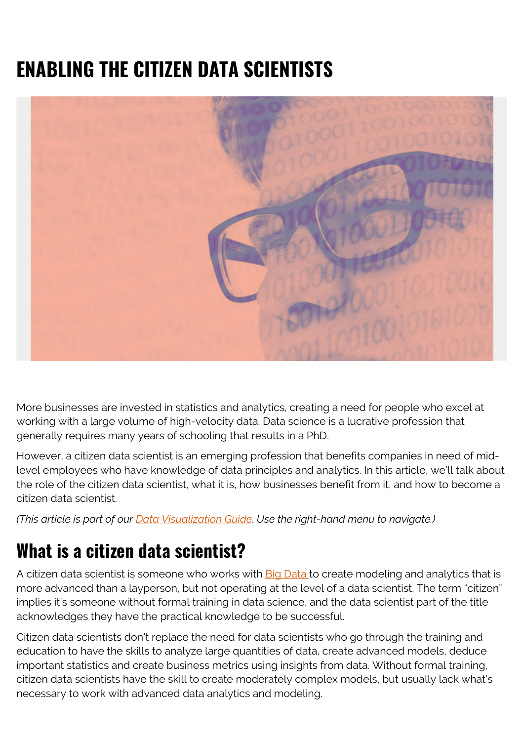# **ENABLING THE CITIZEN DATA SCIENTISTS**



More businesses are invested in statistics and analytics, creating a need for people who excel at working with a large volume of high-velocity data. Data science is a lucrative profession that generally requires many years of schooling that results in a PhD.

However, a citizen data scientist is an emerging profession that benefits companies in need of midlevel employees who have knowledge of data principles and analytics. In this article, we'll talk about the role of the citizen data scientist, what it is, how businesses benefit from it, and how to become a citizen data scientist.

*(This article is part of our [Data Visualization Guide](https://blogs.bmc.com/blogs/data-visualization/). Use the right-hand menu to navigate.)*

### **What is a citizen data scientist?**

A citizen data scientist is someone who works with [Big Data](https://blogs.bmc.com/it-solutions/big-data.html) to create modeling and analytics that is more advanced than a layperson, but not operating at the level of a data scientist. The term "citizen" implies it's someone without formal training in data science, and the data scientist part of the title acknowledges they have the practical knowledge to be successful.

Citizen data scientists don't replace the need for data scientists who go through the training and education to have the skills to analyze large quantities of data, create advanced models, deduce important statistics and create business metrics using insights from data. Without formal training, citizen data scientists have the skill to create moderately complex models, but usually lack what's necessary to work with advanced data analytics and modeling.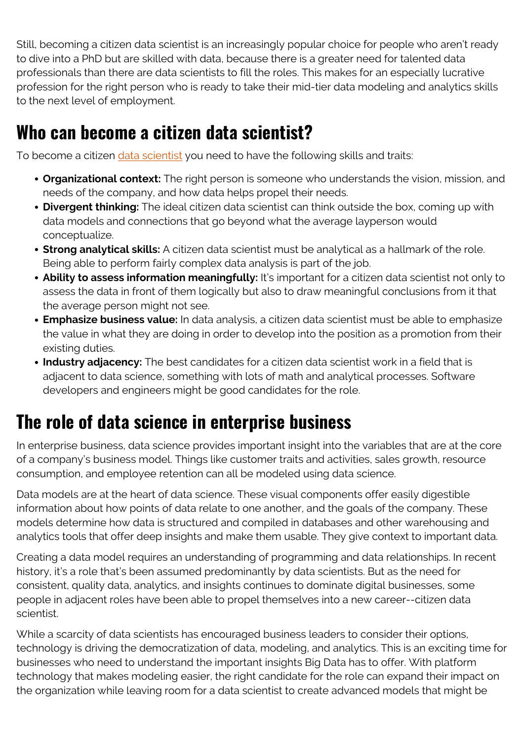Still, becoming a citizen data scientist is an increasingly popular choice for people who aren't ready to dive into a PhD but are skilled with data, because there is a greater need for talented data professionals than there are data scientists to fill the roles. This makes for an especially lucrative profession for the right person who is ready to take their mid-tier data modeling and analytics skills to the next level of employment.

#### **Who can become a citizen data scientist?**

To become a citizen *data scientist* you need to have the following skills and traits:

- **Organizational context:** The right person is someone who understands the vision, mission, and needs of the company, and how data helps propel their needs.
- **Divergent thinking:** The ideal citizen data scientist can think outside the box, coming up with data models and connections that go beyond what the average layperson would conceptualize.
- **Strong analytical skills:** A citizen data scientist must be analytical as a hallmark of the role. Being able to perform fairly complex data analysis is part of the job.
- **Ability to assess information meaningfully:** It's important for a citizen data scientist not only to assess the data in front of them logically but also to draw meaningful conclusions from it that the average person might not see.
- **Emphasize business value:** In data analysis, a citizen data scientist must be able to emphasize the value in what they are doing in order to develop into the position as a promotion from their existing duties.
- **Industry adjacency:** The best candidates for a citizen data scientist work in a field that is adjacent to data science, something with lots of math and analytical processes. Software developers and engineers might be good candidates for the role.

## **The role of data science in enterprise business**

In enterprise business, data science provides important insight into the variables that are at the core of a company's business model. Things like customer traits and activities, sales growth, resource consumption, and employee retention can all be modeled using data science.

Data models are at the heart of data science. These visual components offer easily digestible information about how points of data relate to one another, and the goals of the company. These models determine how data is structured and compiled in databases and other warehousing and analytics tools that offer deep insights and make them usable. They give context to important data.

Creating a data model requires an understanding of programming and data relationships. In recent history, it's a role that's been assumed predominantly by data scientists. But as the need for consistent, quality data, analytics, and insights continues to dominate digital businesses, some people in adjacent roles have been able to propel themselves into a new career--citizen data scientist.

While a scarcity of data scientists has encouraged business leaders to consider their options, technology is driving the democratization of data, modeling, and analytics. This is an exciting time for businesses who need to understand the important insights Big Data has to offer. With platform technology that makes modeling easier, the right candidate for the role can expand their impact on the organization while leaving room for a data scientist to create advanced models that might be